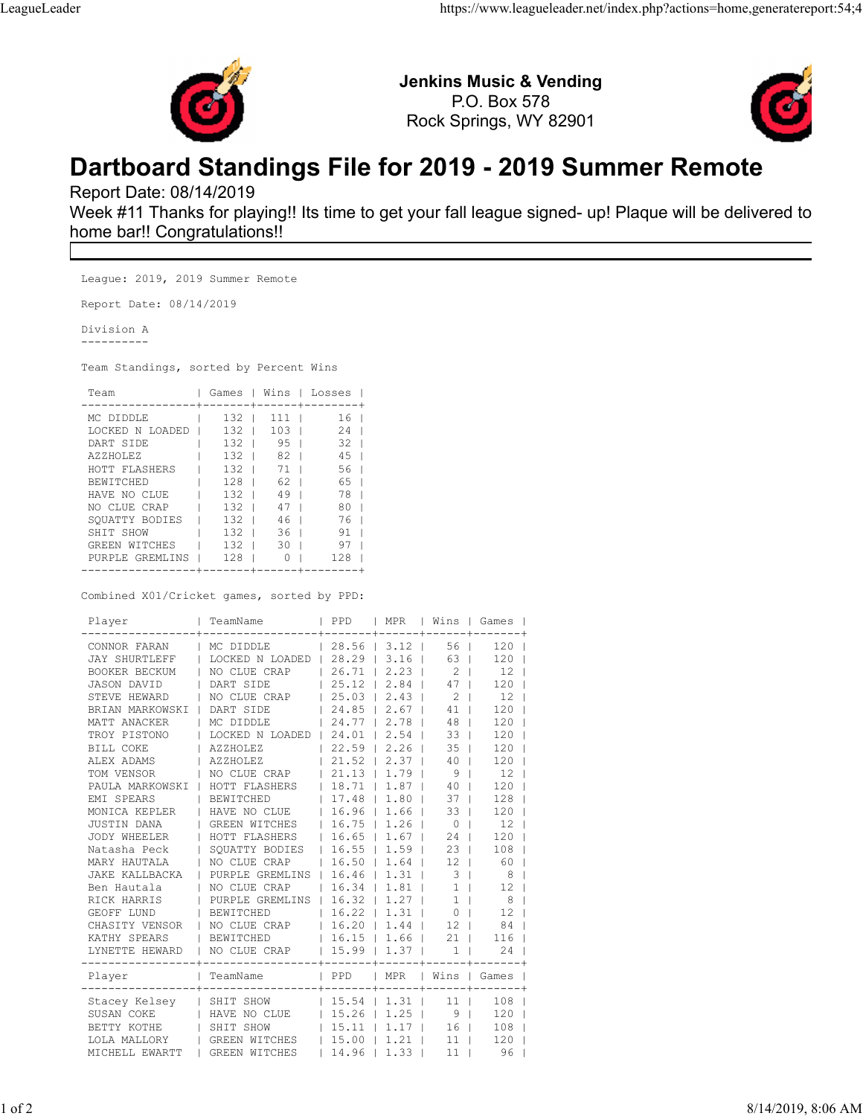

Jenkins Music & Vending P.O. Box 578 Rock Springs, WY 82901



## Dartboard Standings File for 2019 - 2019 Summer Remote

Report Date: 08/14/2019

Week #11 Thanks for playing!! Its time to get your fall league signed- up! Plaque will be delivered to home bar!! Congratulations!!

League: 2019, 2019 Summer Remote Report Date: 08/14/2019 Division A ---------- Team Standings, sorted by Percent Wins Team | Games | Wins | Losses | -----------------+-------+------+--------+ MC DIDDLE | 132 | 111 | 16 | LOCKED N LOADED | 132 | 103 | 24 | DART SIDE | 132 | 95 | 32 | AZZHOLEZ | 132 | 82 | 45 | HOTT FLASHERS | 132 | 71 | 56 | BEWITCHED | 128 | 62 | 65 | HAVE NO CLUE | 132 | 49 | 78 | NO CLUE CRAP | 132 | 47 | 80 | SQUATTY BODIES | 132 | 46 | 76 | SHIT SHOW | 132 | 36 | 91 | 91 | 132 | 91 | 132 | 91 | 132 | 91 | 132 | 132 | 132 | 132 | 132 | 132 | 132 | 13 GREEN WITCHES | 132 | 30 | 97 | PURPLE GREMLINS | 128 | 0 | 128 |

Combined X01/Cricket games, sorted by PPD:

| Player                          | TeamName        | PPD                  | MPR            |                 | Wins   Games   |
|---------------------------------|-----------------|----------------------|----------------|-----------------|----------------|
| CONNOR FARAN                    | MC DIDDLE       |                      | $28.56$   3.12 | 56 <sub>1</sub> | 120            |
| <b>JAY SHURTLEFF</b>            | LOCKED N LOADED |                      | $28.29$   3.16 | 63              | 120            |
| BOOKER BECKUM                   | NO CLUE CRAP    | $26.71$              | $2.23$         | $2-1$           | 12             |
| JASON DAVID                     | DART SIDE       |                      | $25.12$   2.84 | $47 \mid$       | 120            |
| STEVE HEWARD                    | NO CLUE CRAP    | $25.03$              | $2.43$         | $2-1$           | 12             |
| BRIAN MARKOWSKI                 | DART SIDE       | $24.85$              | $2.67$         | 41              | 120            |
| MATT ANACKER                    | MC DIDDLE       | 24.77                | $2.78$         | 48 <sup>1</sup> | 120            |
| TROY PISTONO                    | LOCKED N LOADED | 24.01                | $2.54$         | 33 <sup>1</sup> | 120            |
| BILL COKE                       | AZZHOLEZ        | $22.59$              | 2.26           | 35 <sub>1</sub> | 120            |
| ALEX ADAMS                      | AZZHOLEZ        | $21.52$              | $2.37 \mid$    | 40 <sub>1</sub> | 120            |
| TOM VENSOR                      | NO CLUE CRAP    |                      | $21.13$   1.79 | 9 <sub>1</sub>  | 12             |
| PAULA MARKOWSKI   HOTT FLASHERS |                 |                      | $18.71$   1.87 | 40 <sub>1</sub> | 120            |
| EMI SPEARS                      | BEWITCHED       |                      | $17.48$   1.80 | $37 \mid$       | 128            |
| MONICA KEPLER                   | HAVE NO CLUE    |                      | $16.96$   1.66 | $33 \mid$       | 120            |
| <b>JUSTIN DANA</b>              | GREEN WITCHES   |                      | $16.75$   1.26 | 0 <sub>1</sub>  | 12             |
| JODY WHEELER                    | HOTT FLASHERS   | $16.65$   1.67       |                | 24              | 120            |
| Natasha Peck                    | SQUATTY BODIES  |                      | $16.55$   1.59 | $23 \mid$       | 108            |
| MARY HAUTALA                    | NO CLUE CRAP    |                      | $16.50$   1.64 | 12 <sub>1</sub> | 60             |
| JAKE KALLBACKA                  | PURPLE GREMLINS |                      | $16.46$   1.31 | 3 <sup>1</sup>  | - 8            |
| Ben Hautala                     | NO CLUE CRAP    |                      | $16.34$   1.81 | 1 <sup>1</sup>  | 12             |
| RICK HARRIS                     | PURPLE GREMLINS |                      | $16.32$   1.27 | 1 <sup>1</sup>  | 8              |
| GEOFF LUND                      | BEWITCHED       |                      | $16.22$   1.31 | 0 <sub>1</sub>  | 12             |
| CHASITY VENSOR                  | NO CLUE CRAP    |                      | $16.20$   1.44 | 12 <sub>1</sub> | 84             |
| KATHY SPEARS                    | BEWITCHED       | $16.15$ $1.66$ 1     |                | 21 <sub>1</sub> | 116            |
| LYNETTE HEWARD                  | NO CLUE CRAP    | 15.99                | 1.37           | 1               | 24             |
| Player                          | TeamName        | $ $ PPD              | MPR            |                 | Wins   Games   |
| Stacey Kelsey                   | SHIT SHOW       | $15.54$   1.31       |                | 11 <sub>1</sub> | ------+<br>108 |
| SUSAN COKE                      | HAVE NO CLUE    | 15.26                | 1.25           | 9               | 120            |
| BETTY KOTHE                     | SHIT SHOW       | $15.11$   1.17       |                | 16 <sup>1</sup> | 108            |
| LOLA MALLORY                    | GREEN WITCHES   | $\vert$ 15.00   1.21 |                | 11 <sub>1</sub> | 120            |
| MICHELL EWARTT                  | GREEN WITCHES   |                      | $14.96$   1.33 | 11 <sup>1</sup> | 96             |

-----------------+-------+------+--------+